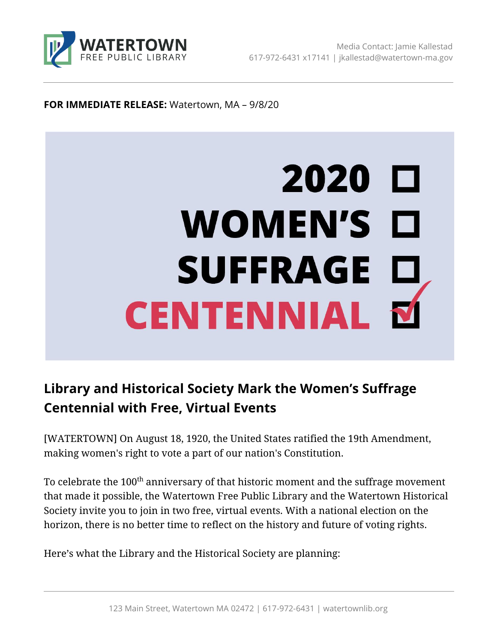

### **FOR IMMEDIATE RELEASE:** Watertown, MA – 9/8/20

# 2020 口 WOMEN'S O SUFFRAGE D<br>CENTENNIAL M

# **Library and Historical Society Mark the Women's Suffrage Centennial with Free, Virtual Events**

[WATERTOWN] On August 18, 1920, the United States ratified the 19th Amendment, making women's right to vote a part of our nation's Constitution.

To celebrate the 100<sup>th</sup> anniversary of that historic moment and the suffrage movement that made it possible, the Watertown Free Public Library and the Watertown Historical Society invite you to join in two free, virtual events. With a national election on the horizon, there is no better time to reflect on the history and future of voting rights.

Here's what the Library and the Historical Society are planning: